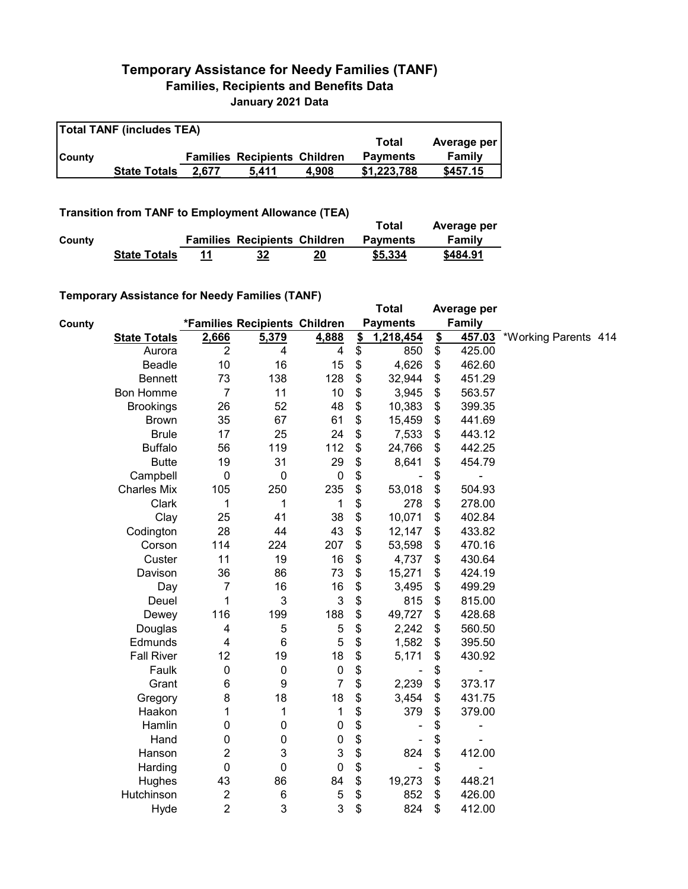## **Temporary Assistance for Needy Families (TANF) Families, Recipients and Benefits Data January 2021 Data**

| <b>Total TANF (includes TEA)</b> |                     |       |                                     |       |                 |             |  |  |  |
|----------------------------------|---------------------|-------|-------------------------------------|-------|-----------------|-------------|--|--|--|
|                                  |                     |       |                                     |       | Total           | Average per |  |  |  |
| <b>County</b>                    |                     |       | <b>Families Recipients Children</b> |       | <b>Payments</b> | Family      |  |  |  |
|                                  | <b>State Totals</b> | 2.677 | 5.411                               | 4.908 | \$1,223,788     | \$457.15    |  |  |  |

## **Transition from TANF to Employment Allowance (TEA)**

|        | <b>Transition from TANF to Employment Allowance (TEA)</b> |    |                                     |    | Total           | Average per |
|--------|-----------------------------------------------------------|----|-------------------------------------|----|-----------------|-------------|
| County |                                                           |    | <b>Families Recipients Children</b> |    | <b>Payments</b> | Family      |
|        | <b>State Totals</b>                                       | 11 | 32                                  | 20 | \$5,334         | \$484.91    |

## **Temporary Assistance for Needy Families (TANF)**

|        | <b>Temporary Assistance for Needy Families (TANF)</b> |                         |                               |                           |                 | <b>Total</b>                 |               | Average per   |                             |  |
|--------|-------------------------------------------------------|-------------------------|-------------------------------|---------------------------|-----------------|------------------------------|---------------|---------------|-----------------------------|--|
| County |                                                       |                         | *Families Recipients Children |                           |                 | <b>Payments</b>              |               | <b>Family</b> |                             |  |
|        | <b>State Totals</b>                                   | 2,666                   | 5,379                         | 4,888                     | $\frac{2}{2}$   | 1,218,454                    | $\frac{2}{2}$ |               | 457.03 *Working Parents 414 |  |
|        | Aurora                                                | $\overline{2}$          | $\overline{4}$                | 4                         | $\overline{\$}$ | 850                          | \$            | 425.00        |                             |  |
|        | <b>Beadle</b>                                         | 10                      | 16                            | 15                        | \$              | 4,626                        | \$            | 462.60        |                             |  |
|        | <b>Bennett</b>                                        | 73                      | 138                           | 128                       | \$              | 32,944                       | \$            | 451.29        |                             |  |
|        | <b>Bon Homme</b>                                      | $\overline{7}$          | 11                            | 10                        | \$              | 3,945                        | \$            | 563.57        |                             |  |
|        | <b>Brookings</b>                                      | 26                      | 52                            | 48                        | \$              | 10,383                       | \$            | 399.35        |                             |  |
|        | <b>Brown</b>                                          | 35                      | 67                            | 61                        | \$              | 15,459                       | \$            | 441.69        |                             |  |
|        | <b>Brule</b>                                          | 17                      | 25                            | 24                        | \$              | 7,533                        | \$            | 443.12        |                             |  |
|        | <b>Buffalo</b>                                        | 56                      | 119                           | 112                       | \$              | 24,766                       | \$            | 442.25        |                             |  |
|        | <b>Butte</b>                                          | 19                      | 31                            | 29                        | \$              | 8,641                        | \$            | 454.79        |                             |  |
|        | Campbell                                              | 0                       | $\pmb{0}$                     | $\pmb{0}$                 | \$              |                              | \$            |               |                             |  |
|        | <b>Charles Mix</b>                                    | 105                     | 250                           | 235                       | \$              | 53,018                       | \$            | 504.93        |                             |  |
|        | Clark                                                 | 1                       | 1                             | 1                         | \$              | 278                          | \$            | 278.00        |                             |  |
|        | Clay                                                  | 25                      | 41                            | 38                        | \$              | 10,071                       | \$            | 402.84        |                             |  |
|        | Codington                                             | 28                      | 44                            | 43                        | \$              | 12,147                       | \$            | 433.82        |                             |  |
|        | Corson                                                | 114                     | 224                           | 207                       | \$              | 53,598                       | \$            | 470.16        |                             |  |
|        | Custer                                                | 11                      | 19                            | 16                        | \$              | 4,737                        | \$            | 430.64        |                             |  |
|        | Davison                                               | 36                      | 86                            | 73                        | \$              | 15,271                       | \$            | 424.19        |                             |  |
|        | Day                                                   | $\overline{7}$          | 16                            | 16                        | \$              | 3,495                        | \$            | 499.29        |                             |  |
|        | Deuel                                                 | 1                       | 3                             | $\ensuremath{\mathsf{3}}$ | \$              | 815                          | \$            | 815.00        |                             |  |
|        | Dewey                                                 | 116                     | 199                           | 188                       | \$              | 49,727                       | \$            | 428.68        |                             |  |
|        | Douglas                                               | 4                       | 5                             | $\sqrt{5}$                | \$              | 2,242                        | \$            | 560.50        |                             |  |
|        | Edmunds                                               | 4                       | $6\phantom{1}6$               | 5                         | \$              | 1,582                        | \$            | 395.50        |                             |  |
|        | <b>Fall River</b>                                     | 12                      | 19                            | 18                        | \$              | 5,171                        | \$            | 430.92        |                             |  |
|        | Faulk                                                 | 0                       | $\mathbf 0$                   | $\pmb{0}$                 | \$              | $\qquad \qquad \blacksquare$ | \$            | Ē,            |                             |  |
|        | Grant                                                 | 6                       | 9                             | $\overline{7}$            | \$              | 2,239                        | \$            | 373.17        |                             |  |
|        | Gregory                                               | 8                       | 18                            | 18                        | \$              | 3,454                        | \$            | 431.75        |                             |  |
|        | Haakon                                                | 1                       | 1                             | 1                         | \$              | 379                          | \$            | 379.00        |                             |  |
|        | Hamlin                                                | 0                       | 0                             | 0                         | \$              |                              | \$            | ۰             |                             |  |
|        | Hand                                                  | 0                       | 0                             | $\pmb{0}$                 | \$              |                              | \$            |               |                             |  |
|        | Hanson                                                | $\overline{2}$          | 3                             | $\ensuremath{\mathsf{3}}$ | \$              | 824                          | \$            | 412.00        |                             |  |
|        | Harding                                               | $\mathbf 0$             | $\mathbf 0$                   | 0                         | \$              | ÷,                           | \$            | ÷,            |                             |  |
|        | Hughes                                                | 43                      | 86                            | 84                        | \$              | 19,273                       | \$            | 448.21        |                             |  |
|        | Hutchinson                                            | $\overline{\mathbf{c}}$ | $\,6\,$                       | $\sqrt{5}$                | \$              | 852                          | \$            | 426.00        |                             |  |
|        | Hyde                                                  | $\overline{2}$          | 3                             | 3                         | \$              | 824                          | \$            | 412.00        |                             |  |